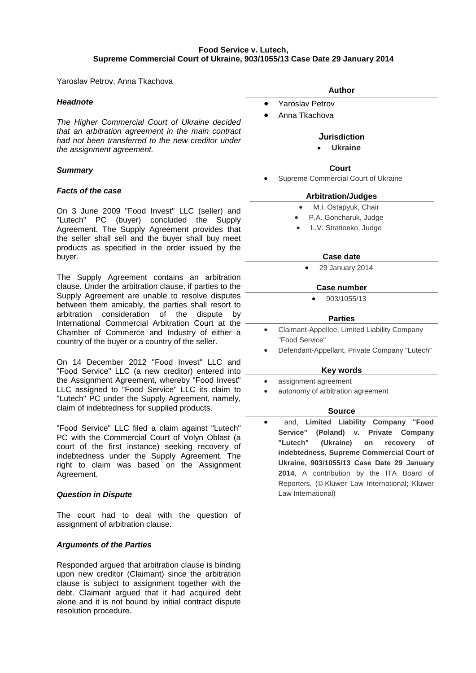# **Food Service v. Lutech, Supreme Commercial Court of Ukraine, 903/1055/13 Case Date 29 January 2014**

Yaroslav Petrov, Anna Tkachova

# *Headnote*

*The Higher Commercial Court of Ukraine decided that an arbitration agreement in the main contract had not been transferred to the new creditor under the assignment agreement.*

## *Summary*

## *Facts of the case*

On 3 June 2009 "Food Invest" LLC (seller) and "Lutech" PC (buyer) concluded the Supply Agreement. The Supply Agreement provides that the seller shall sell and the buyer shall buy meet products as specified in the order issued by the buyer.

The Supply Agreement contains an arbitration clause. Under the arbitration clause, if parties to the Supply Agreement are unable to resolve disputes between them amicably, the parties shall resort to arbitration consideration of the dispute by International Commercial Arbitration Court at the Chamber of Commerce and Industry of either a country of the buyer or a country of the seller.

On 14 December 2012 "Food Invest" LLC and "Food Service" LLC (a new creditor) entered into the Assignment Agreement, whereby "Food Invest" LLC assigned to "Food Service" LLC its claim to "Lutech" PC under the Supply Agreement, namely, claim of indebtedness for supplied products.

"Food Service" LLC filed a claim against "Lutech" PC with the Commercial Court of Volyn Oblast (a court of the first instance) seeking recovery of indebtedness under the Supply Agreement. The right to claim was based on the Assignment Agreement.

## *Question in Dispute*

The court had to deal with the question of assignment of arbitration clause.

# *Arguments of the Parties*

Responded argued that arbitration clause is binding upon new creditor (Claimant) since the arbitration clause is subject to assignment together with the debt. Claimant argued that it had acquired debt alone and it is not bound by initial contract dispute resolution procedure.

- Yaroslav Petrov
- Anna Tkachova

**Jurisdiction** • **[Ukraine](http://www.kluwerarbitration.com/CommonUI/organizations.aspx?jurisdiction=Ukraine)**

### **Court**

Supreme Commercial Court of Ukraine

# **Arbitration/Judges**

- M.I. Ostapyuk, Chair
- P.A. Goncharuk, Judge
- L.V. Stratienko, Judge

# **Case date**

• 29 January 2014

## **Case number**

• 903/1055/13

# **Parties**

- Claimant-Appellee, Limited Liability Company "Food Service"
- Defendant-Appellant, Private Company "Lutech"

#### **Key words**

- assignment agreement
- autonomy of arbitration agreement

# **Source**

• and, **Limited Liability Company "Food Service" (Poland) v. Private Company "Lutech" (Ukraine) on recovery of indebtedness, Supreme Commercial Court of Ukraine, 903/1055/13 Case Date 29 January 2014**, A contribution by the ITA Board of Reporters, (© Kluwer Law International; Kluwer Law International)